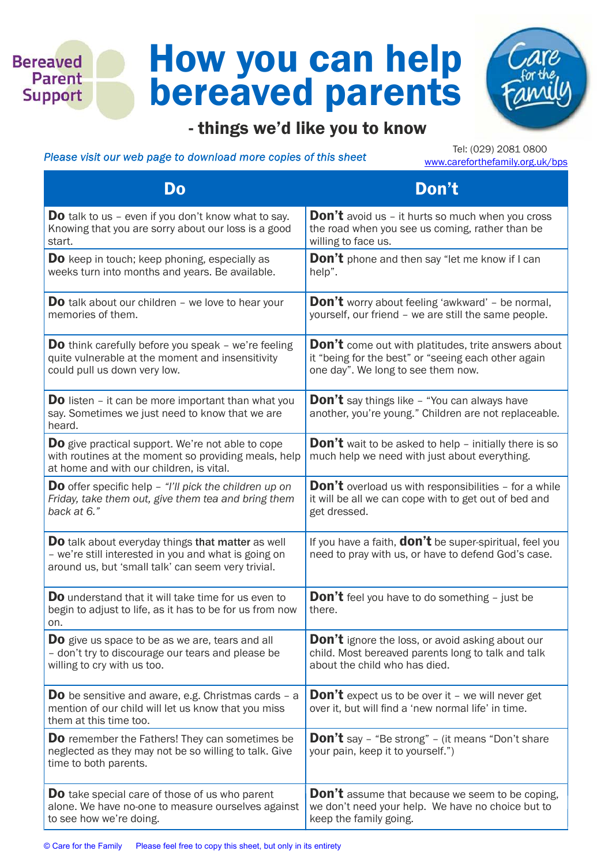## How you can help bereaved parents



## Please visit our web page to download more copies of this sheet

**Bereaved** Parent **Support** 

> Tel: (029) 2081 0800 www.careforthefamily.org.uk/bps

| Do                                                                                                                                                                     | Don't                                                                                                                 |
|------------------------------------------------------------------------------------------------------------------------------------------------------------------------|-----------------------------------------------------------------------------------------------------------------------|
| <b>Do</b> talk to us – even if you don't know what to say.                                                                                                             | <b>Don't</b> avoid us - it hurts so much when you cross                                                               |
| Knowing that you are sorry about our loss is a good                                                                                                                    | the road when you see us coming, rather than be                                                                       |
| start.                                                                                                                                                                 | willing to face us.                                                                                                   |
| <b>Do</b> keep in touch; keep phoning, especially as                                                                                                                   | <b>Don't</b> phone and then say "let me know if I can                                                                 |
| weeks turn into months and years. Be available.                                                                                                                        | help".                                                                                                                |
| <b>Do</b> talk about our children - we love to hear your                                                                                                               | <b>Don't</b> worry about feeling 'awkward' - be normal,                                                               |
| memories of them.                                                                                                                                                      | yourself, our friend - we are still the same people.                                                                  |
| <b>Do</b> think carefully before you speak - we're feeling                                                                                                             | <b>Don't</b> come out with platitudes, trite answers about                                                            |
| quite vulnerable at the moment and insensitivity                                                                                                                       | it "being for the best" or "seeing each other again                                                                   |
| could pull us down very low.                                                                                                                                           | one day". We long to see them now.                                                                                    |
| <b>Do</b> listen – it can be more important than what you<br>say. Sometimes we just need to know that we are<br>heard.                                                 | <b>Don't</b> say things like - "You can always have<br>another, you're young." Children are not replaceable.          |
| <b>Do</b> give practical support. We're not able to cope<br>with routines at the moment so providing meals, help<br>at home and with our children, is vital.           | <b>Don't</b> wait to be asked to help $-$ initially there is so<br>much help we need with just about everything.      |
| <b>Do</b> offer specific help $-$ "I'll pick the children up on                                                                                                        | <b>Don't</b> overload us with responsibilities - for a while                                                          |
| Friday, take them out, give them tea and bring them                                                                                                                    | it will be all we can cope with to get out of bed and                                                                 |
| back at 6."                                                                                                                                                            | get dressed.                                                                                                          |
| <b>Do</b> talk about everyday things that matter as well<br>- we're still interested in you and what is going on<br>around us, but 'small talk' can seem very trivial. | If you have a faith, <b>don't</b> be super-spiritual, feel you<br>need to pray with us, or have to defend God's case. |
| Do understand that it will take time for us even to<br>begin to adjust to life, as it has to be for us from now<br>on.                                                 | <b>Don't</b> feel you have to do something - just be<br>there.                                                        |
| <b>Do</b> give us space to be as we are, tears and all                                                                                                                 | <b>Don't</b> ignore the loss, or avoid asking about our                                                               |
| - don't try to discourage our tears and please be                                                                                                                      | child. Most bereaved parents long to talk and talk                                                                    |
| willing to cry with us too.                                                                                                                                            | about the child who has died.                                                                                         |
| <b>Do</b> be sensitive and aware, e.g. Christmas cards - a<br>mention of our child will let us know that you miss<br>them at this time too.                            | <b>Don't</b> expect us to be over it - we will never get<br>over it, but will find a 'new normal life' in time.       |
| <b>Do</b> remember the Fathers! They can sometimes be<br>neglected as they may not be so willing to talk. Give<br>time to both parents.                                | <b>Don't</b> say - "Be strong" - (it means "Don't share<br>your pain, keep it to yourself.")                          |
| <b>Do</b> take special care of those of us who parent                                                                                                                  | <b>Don't</b> assume that because we seem to be coping,                                                                |
| alone. We have no-one to measure ourselves against                                                                                                                     | we don't need your help. We have no choice but to                                                                     |
| to see how we're doing.                                                                                                                                                | keep the family going.                                                                                                |